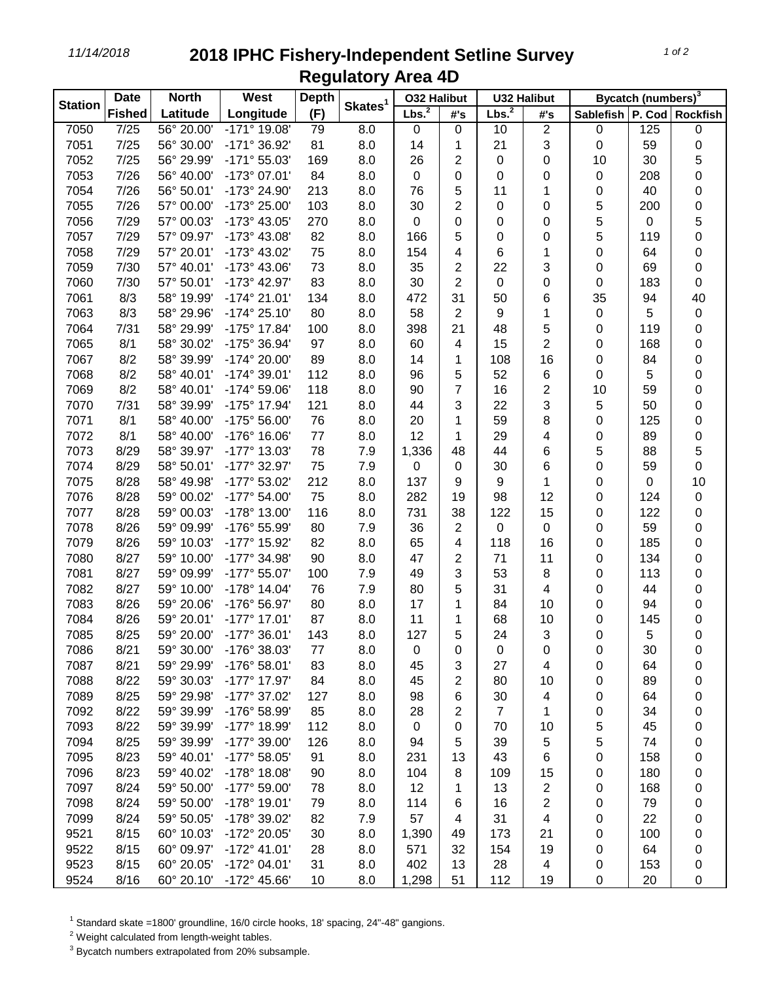*11/14/2018* **2018 IPHC Fishery-Independent Setline Survey Regulatory Area 4D**

| <b>Station</b> | <b>Date</b>   | <b>North</b> | West                           | <b>Depth</b> | Skates <sup>1</sup> | <b>O32 Halibut</b> |                | <b>U32 Halibut</b> |                         | Bycatch (numbers) <sup>3</sup> |     |           |
|----------------|---------------|--------------|--------------------------------|--------------|---------------------|--------------------|----------------|--------------------|-------------------------|--------------------------------|-----|-----------|
|                | <b>Fished</b> | Latitude     | Longitude                      | (F)          |                     | Lbs. <sup>2</sup>  | #'s            | Lbs. <sup>2</sup>  | #'s                     | Sablefish   P. Cod   Rockfish  |     |           |
| 7050           | 7/25          | 56° 20.00'   | $-171^{\circ}$ 19.08'          | 79           | 8.0                 | $\pmb{0}$          | 0              | 10                 | $\mathbf{2}$            | $\pmb{0}$                      | 125 | $\pmb{0}$ |
| 7051           | 7/25          | 56° 30.00'   | $-171°36.92'$                  | 81           | 8.0                 | 14                 | 1              | 21                 | 3                       | $\pmb{0}$                      | 59  | 0         |
| 7052           | 7/25          | 56° 29.99'   | $-171°55.03'$                  | 169          | 8.0                 | 26                 | $\overline{2}$ | 0                  | 0                       | 10                             | 30  | 5         |
| 7053           | 7/26          | 56° 40.00'   | -173° 07.01'                   | 84           | 8.0                 | 0                  | 0              | 0                  | 0                       | 0                              | 208 | 0         |
| 7054           | 7/26          | 56° 50.01'   | -173° 24.90'                   | 213          | 8.0                 | 76                 | 5              | 11                 | 1                       | 0                              | 40  | 0         |
| 7055           | 7/26          | 57° 00.00'   | -173° 25.00'                   | 103          | 8.0                 | 30                 | 2              | 0                  | 0                       | 5                              | 200 | 0         |
| 7056           | 7/29          | 57° 00.03'   | -173° 43.05'                   | 270          | 8.0                 | 0                  | 0              | 0                  | 0                       | 5                              | 0   | 5         |
| 7057           | 7/29          | 57° 09.97'   | -173° 43.08'                   | 82           | 8.0                 | 166                | 5              | 0                  | 0                       | 5                              | 119 | 0         |
| 7058           | 7/29          | 57° 20.01'   | -173° 43.02'                   | 75           | 8.0                 | 154                | 4              | 6                  | 1                       | 0                              | 64  | 0         |
| 7059           | 7/30          | 57° 40.01'   | -173° 43.06'                   | 73           | 8.0                 | 35                 | 2              | 22                 | 3                       | 0                              | 69  | 0         |
| 7060           | 7/30          | 57° 50.01'   | $-173^{\circ}$ 42.97'          | 83           | 8.0                 | 30                 | $\overline{2}$ | 0                  | 0                       | 0                              | 183 | 0         |
| 7061           | 8/3           | 58° 19.99'   | $-174^{\circ} 21.01'$          | 134          | 8.0                 | 472                | 31             | 50                 | 6                       | 35                             | 94  | 40        |
| 7063           | 8/3           | 58° 29.96'   | $-174^{\circ} 25.10'$          | 80           | 8.0                 | 58                 | 2              | 9                  | 1                       | $\pmb{0}$                      | 5   | $\pmb{0}$ |
| 7064           | 7/31          | 58° 29.99'   | $-175^{\circ}$ 17.84'          | 100          | 8.0                 | 398                | 21             | 48                 | 5                       | 0                              | 119 | 0         |
| 7065           | 8/1           | 58° 30.02'   | -175° 36.94'                   | 97           | 8.0                 | 60                 | 4              | 15                 | $\overline{2}$          | 0                              | 168 | 0         |
| 7067           | 8/2           | 58° 39.99'   | -174° 20.00'                   | 89           | 8.0                 | 14                 | 1              | 108                | 16                      | 0                              | 84  | 0         |
| 7068           | 8/2           | 58° 40.01'   | $-174^{\circ} 39.01'$          | 112          | 8.0                 | 96                 | 5              | 52                 | 6                       | 0                              | 5   | 0         |
| 7069           | 8/2           | 58° 40.01'   | $-174^{\circ} 59.06'$          | 118          | 8.0                 | 90                 | $\overline{7}$ | 16                 | $\overline{2}$          | 10                             | 59  | 0         |
| 7070           | 7/31          | 58° 39.99'   | -175° 17.94'                   | 121          | 8.0                 | 44                 | 3              | 22                 | $\sqrt{3}$              | 5                              | 50  | 0         |
| 7071           | 8/1           | 58° 40.00'   | -175° 56.00'                   | 76           | 8.0                 | 20                 | 1              | 59                 | 8                       | 0                              | 125 | 0         |
| 7072           | 8/1           | 58° 40.00'   | -176° 16.06'                   | 77           | 8.0                 | 12                 | 1              | 29                 | 4                       | 0                              | 89  | 0         |
| 7073           | 8/29          | 58° 39.97'   | $-177^{\circ}$ 13.03'          | 78           | 7.9                 | 1,336              | 48             | 44                 | 6                       | 5                              | 88  | 5         |
| 7074           | 8/29          | 58° 50.01'   | -177° 32.97'                   | 75           | 7.9                 | 0                  | 0              | 30                 | 6                       | 0                              | 59  | 0         |
| 7075           | 8/28          | 58° 49.98'   | -177° 53.02'                   | 212          | 8.0                 | 137                | 9              | 9                  | 1                       | 0                              | 0   | 10        |
| 7076           | 8/28          | 59° 00.02'   | $-177^{\circ} 54.00'$          | 75           | 8.0                 | 282                | 19             | 98                 | 12                      | 0                              | 124 | 0         |
| 7077           | 8/28          | 59° 00.03'   | -178° 13.00'                   | 116          | 8.0                 | 731                | 38             | 122                | 15                      | 0                              | 122 |           |
| 7078           | 8/26          | 59° 09.99'   | -176° 55.99'                   | 80           | 7.9                 | 36                 | 2              | $\mathbf 0$        | 0                       |                                | 59  | 0         |
| 7079           | 8/26          | 59° 10.03'   | -177° 15.92'                   | 82           |                     | 65                 | 4              | 118                | 16                      | 0                              | 185 | 0         |
|                |               |              | -177° 34.98'                   |              | 8.0                 |                    |                |                    |                         | 0                              |     | 0         |
| 7080           | 8/27<br>8/27  | 59° 10.00'   |                                | 90           | 8.0                 | 47                 | 2              | 71                 | 11                      | 0                              | 134 | 0         |
| 7081           |               | 59° 09.99'   | -177° 55.07'                   | 100          | 7.9                 | 49                 | 3              | 53                 | 8                       | 0                              | 113 | 0         |
| 7082           | 8/27          | 59° 10.00'   | $-178°$ 14.04'<br>-176° 56.97' | 76           | 7.9                 | 80                 | 5              | 31                 | 4                       | 0                              | 44  | 0         |
| 7083           | 8/26          | 59° 20.06'   |                                | 80           | 8.0                 | 17                 | 1              | 84                 | 10                      | 0                              | 94  | 0         |
| 7084           | 8/26          | 59° 20.01'   | $-177^{\circ}$ 17.01'          | 87           | 8.0                 | 11                 | 1              | 68                 | 10                      | 0                              | 145 | 0         |
| 7085           | 8/25          | 59° 20.00'   | $-177^{\circ}$ 36.01'          | 143          | 8.0                 | 127                | 5              | 24                 | 3                       | 0                              | 5   | 0         |
| 7086           | 8/21          | 59° 30.00'   | -176° 38.03'                   | 77           | 8.0                 | O                  | 0              | O                  | 0                       | 0                              | 30  | 0         |
| 7087           | 8/21          | 59° 29.99'   | -176° 58.01'                   | 83           | 8.0                 | 45                 | 3              | 27                 | 4                       | 0                              | 64  | 0         |
| 7088           | 8/22          | 59° 30.03'   | $-177°$ 17.97'                 | 84           | 8.0                 | 45                 | 2              | 80                 | 10                      | 0                              | 89  | 0         |
| 7089           | 8/25          | 59° 29.98'   | -177° 37.02'                   | 127          | 8.0                 | 98                 | 6              | 30                 | 4                       | 0                              | 64  | 0         |
| 7092           | 8/22          | 59° 39.99'   | -176° 58.99'                   | 85           | 8.0                 | 28                 | 2              | $\overline{7}$     | 1                       | 0                              | 34  | 0         |
| 7093           | 8/22          | 59° 39.99'   | -177° 18.99'                   | 112          | 8.0                 | 0                  | 0              | 70                 | 10                      | 5                              | 45  | 0         |
| 7094           | 8/25          | 59° 39.99'   | -177° 39.00'                   | 126          | 8.0                 | 94                 | 5              | 39                 | 5                       | 5                              | 74  | 0         |
| 7095           | 8/23          | 59° 40.01'   | -177° 58.05'                   | 91           | 8.0                 | 231                | 13             | 43                 | 6                       | 0                              | 158 | 0         |
| 7096           | 8/23          | 59° 40.02'   | $-178°$ 18.08'                 | 90           | 8.0                 | 104                | 8              | 109                | 15                      | 0                              | 180 | 0         |
| 7097           | 8/24          | 59° 50.00'   | -177° 59.00'                   | 78           | 8.0                 | 12                 | 1              | 13                 | $\overline{\mathbf{c}}$ | 0                              | 168 | 0         |
| 7098           | 8/24          | 59° 50.00'   | $-178°$ 19.01'                 | 79           | 8.0                 | 114                | 6              | 16                 | $\mathbf{2}$            | 0                              | 79  | 0         |
| 7099           | 8/24          | 59° 50.05'   | -178° 39.02'                   | 82           | 7.9                 | 57                 | 4              | 31                 | 4                       | 0                              | 22  | 0         |
| 9521           | 8/15          | 60° 10.03'   | -172° 20.05'                   | 30           | 8.0                 | 1,390              | 49             | 173                | 21                      | 0                              | 100 | 0         |
| 9522           | 8/15          | 60° 09.97'   | $-172^{\circ}$ 41.01'          | 28           | 8.0                 | 571                | 32             | 154                | 19                      | 0                              | 64  | 0         |
| 9523           | 8/15          | 60° 20.05'   | -172° 04.01'                   | 31           | 8.0                 | 402                | 13             | 28                 | 4                       | 0                              | 153 | 0         |
| 9524           | 8/16          | 60° 20.10'   | $-172^{\circ}$ 45.66'          | 10           | 8.0                 | 1,298              | 51             | 112                | 19                      | 0                              | 20  | 0         |

Standard skate =1800' groundline, 16/0 circle hooks, 18' spacing, 24"-48" gangions.

Weight calculated from length-weight tables.

Bycatch numbers extrapolated from 20% subsample.